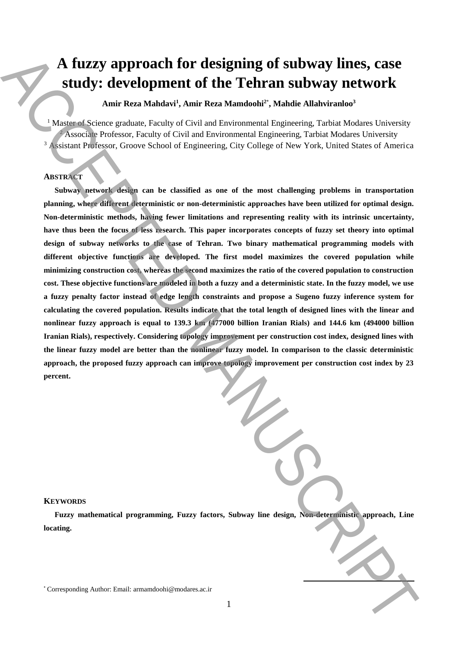# **A fuzzy approach for designing of subway lines, case study: development of the Tehran subway network**

**Amir Reza Mahdavi<sup>1</sup> , Amir Reza Mamdoohi<sup>2</sup>**\* **, Mahdie Allahviranloo<sup>3</sup>**

<sup>1</sup> Master of Science graduate, Faculty of Civil and Environmental Engineering, Tarbiat Modares University <sup>2</sup> Associate Professor, Faculty of Civil and Environmental Engineering, Tarbiat Modares University <sup>3</sup> Assistant Professor, Groove School of Engineering, City College of New York, United States of America

# **ABSTRACT**

**Subway network design can be classified as one of the most challenging problems in transportation planning, where different deterministic or non-deterministic approaches have been utilized for optimal design. Non-deterministic methods, having fewer limitations and representing reality with its intrinsic uncertainty, have thus been the focus of less research. This paper incorporates concepts of fuzzy set theory into optimal design of subway networks to the case of Tehran. Two binary mathematical programming models with different objective functions are developed. The first model maximizes the covered population while minimizing construction cost, whereas the second maximizes the ratio of the covered population to construction cost. These objective functions are modeled in both a fuzzy and a deterministic state. In the fuzzy model, we use a fuzzy penalty factor instead of edge length constraints and propose a Sugeno fuzzy inference system for calculating the covered population. Results indicate that the total length of designed lines with the linear and nonlinear fuzzy approach is equal to 139.3 km (477000 billion Iranian Rials) and 144.6 km (494000 billion Iranian Rials), respectively. Considering topology improvement per construction cost index, designed lines with the linear fuzzy model are better than the nonlinear fuzzy model. In comparison to the classic deterministic approach, the proposed fuzzy approach can improve topology improvement per construction cost index by 23 percent.** A fuzzy approach for designing of subway lines, case<br>
since  $\mathbb{R}^2$  corresponding that the latter throm Manuscript (Manuscript (Manuscript (Manuscript (Manuscript (Manuscript (Manuscript (Manuscript (Manuscript (Manusc

#### **KEYWORDS**

**Fuzzy mathematical programming, Fuzzy factors, Subway line design, Non-deterministic approach, Line locating.**

**.**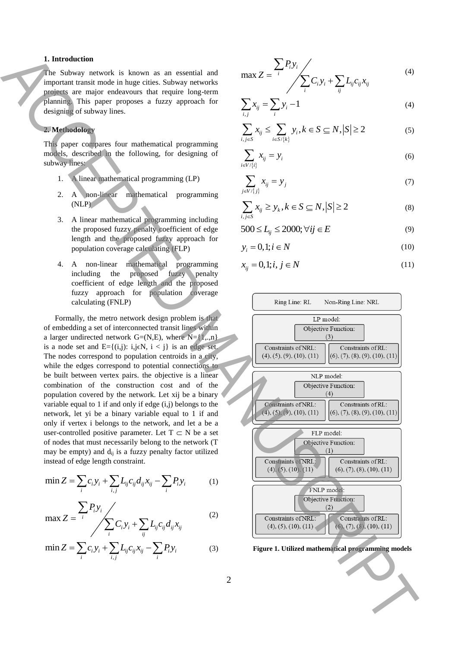# **1. Introduction**

The Subway network is known as an essential and important transit mode in huge cities. Subway networks projects are major endeavours that require long-term planning. This paper proposes a fuzzy approach for designing of subway lines.

# **2. Methodology**

This paper compares four mathematical programming models, described in the following, for designing of subway lines:

- 1. A linear mathematical programming (LP)
- 2. A non-linear mathematical programming (NLP)
- 3. A linear mathematical programming including the proposed fuzzy penalty coefficient of edge length and the proposed fuzzy approach for population coverage calculating (FLP)
- 4. A non-linear mathematical programming including the proposed fuzzy penalty coefficient of edge length and the proposed fuzzy approach for population coverage calculating (FNLP)

Formally, the metro network design problem is that of embedding a set of interconnected transit lines within a larger undirected network  $G=(N,E)$ , where  $N=\{1,..,n\}$ is a node set and  $E = \{(i,j): i,j \in N, i < j\}$  is an edge set. The nodes correspond to population centroids in a city, while the edges correspond to potential connections to be built between vertex pairs. the objective is a linear combination of the construction cost and of the population covered by the network. Let xij be a binary variable equal to 1 if and only if edge  $(i,j)$  belongs to the network, let yi be a binary variable equal to 1 if and only if vertex i belongs to the network, and let a be a user-controlled positive parameter. Let  $T \subset N$  be a set of nodes that must necessarily belong to the network (T may be empty) and  $d_{ij}$  is a fuzzy penalty factor utilized instead of edge length constraint.

$$
\min Z = \sum_{i} c_i y_i + \sum_{i,j} L_{ij} c_{ij} d_{ij} x_{ij} - \sum_{i} P_i y_i \tag{1}
$$

$$
\max Z = \frac{\sum_{i} P_{i} y_{i}}{\sum_{i} C_{i} y_{i} + \sum_{ij} L_{ij} c_{ij} d_{ij} x_{ij}}
$$
(2)

$$
\min Z = \sum_{i} c_i y_i + \sum_{i,j} L_{ij} c_{ij} x_{ij} - \sum_{i} P_i y_i
$$
 (3)

$$
\max Z = \frac{\sum_{i} P_{i} y_{i}}{\sum_{i} C_{i} y_{i} + \sum_{ij} L_{ij} c_{ij} x_{ij}}
$$
(4)

$$
\sum_{i,j} x_{ij} = \sum_{i} y_i - 1
$$
 (4)

$$
\sum_{i,j\in S} x_{ij} \le \sum_{i\in S/\{k\}} y_i, k \in S \subseteq N, |S| \ge 2
$$
 (5)

$$
\sum_{i \in V/\{i\}} x_{ij} = y_i \tag{6}
$$

$$
\sum_{j \in V/\{j\}} x_{ij} = y_j \tag{7}
$$

$$
\sum_{i,j\in S} x_{ij} \ge y_k, k \in S \subseteq N, |S| \ge 2
$$
\n(8)

$$
500 \le L_{ij} \le 2000; \forall ij \in E
$$
 (9)

$$
y_i = 0, 1; i \in N \tag{10}
$$

$$
x_{ij} = 0, 1; i, j \in \mathbb{N} \tag{11}
$$